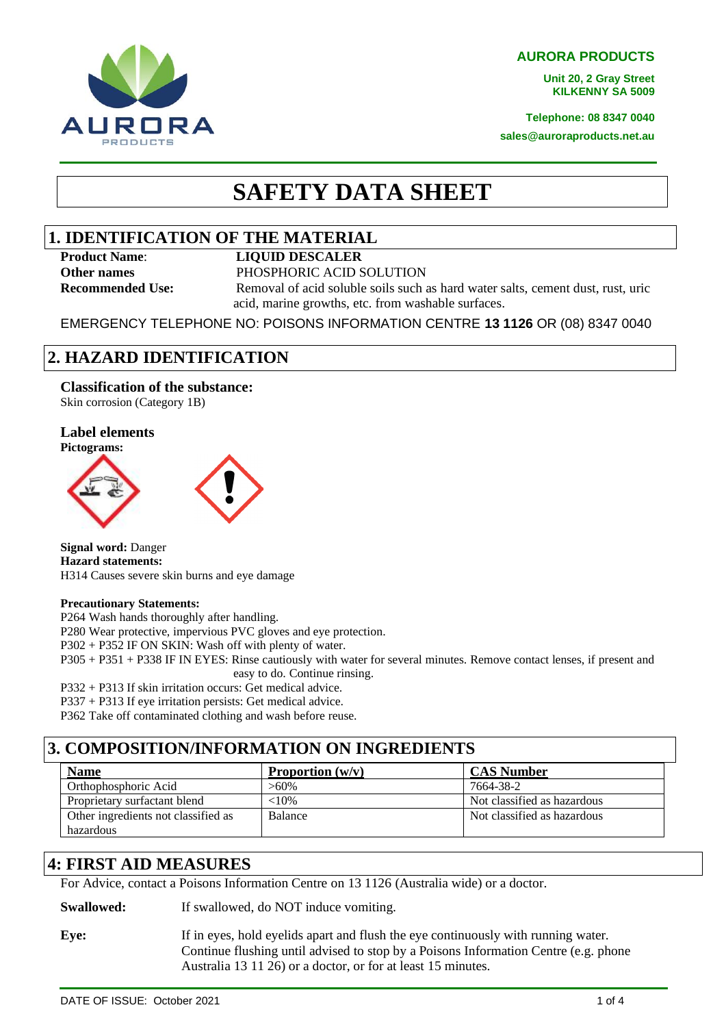**AURORA PRODUCTS**

**Unit 20, 2 Gray Street KILKENNY SA 5009**

**Telephone: 08 8347 0040**

**sales@auroraproducts.net.au**

# **SAFETY DATA SHEET**

### **1. IDENTIFICATION OF THE MATERIAL**

#### **Product Name**: **LIQUID DESCALER**

**Other names** PHOSPHORIC ACID SOLUTION **Recommended Use:** Removal of acid soluble soils such as hard water salts, cement dust, rust, uric

acid, marine growths, etc. from washable surfaces.

EMERGENCY TELEPHONE NO: POISONS INFORMATION CENTRE **13 1126** OR (08) 8347 0040

## **2. HAZARD IDENTIFICATION**

**Classification of the substance:** Skin corrosion (Category 1B)

IRORA **PRODUCTS** 

#### **Label elements Pictograms:**



**Signal word:** Danger **Hazard statements:** H314 Causes severe skin burns and eye damage

### **Precautionary Statements:**

P264 Wash hands thoroughly after handling.

P280 Wear protective, impervious PVC gloves and eye protection.

P302 + P352 IF ON SKIN: Wash off with plenty of water.

P305 + P351 + P338 IF IN EYES: Rinse cautiously with water for several minutes. Remove contact lenses, if present and easy to do. Continue rinsing.

P332 + P313 If skin irritation occurs: Get medical advice.

P337 + P313 If eye irritation persists: Get medical advice.

P362 Take off contaminated clothing and wash before reuse.

## **3. COMPOSITION/INFORMATION ON INGREDIENTS**

| <b>Name</b>                         | Proportion $(w/v)$ | <b>CAS Number</b>           |
|-------------------------------------|--------------------|-----------------------------|
| Orthophosphoric Acid                | $>60\%$            | 7664-38-2                   |
| Proprietary surfactant blend        | ${<}10\%$          | Not classified as hazardous |
| Other ingredients not classified as | <b>Balance</b>     | Not classified as hazardous |
| hazardous                           |                    |                             |

## **4: FIRST AID MEASURES**

For Advice, contact a Poisons Information Centre on 13 1126 (Australia wide) or a doctor.

**Swallowed:** If swallowed, do NOT induce vomiting.

**Eye:** If in eyes, hold eyelids apart and flush the eye continuously with running water. Continue flushing until advised to stop by a Poisons Information Centre (e.g. phone Australia 13 11 26) or a doctor, or for at least 15 minutes.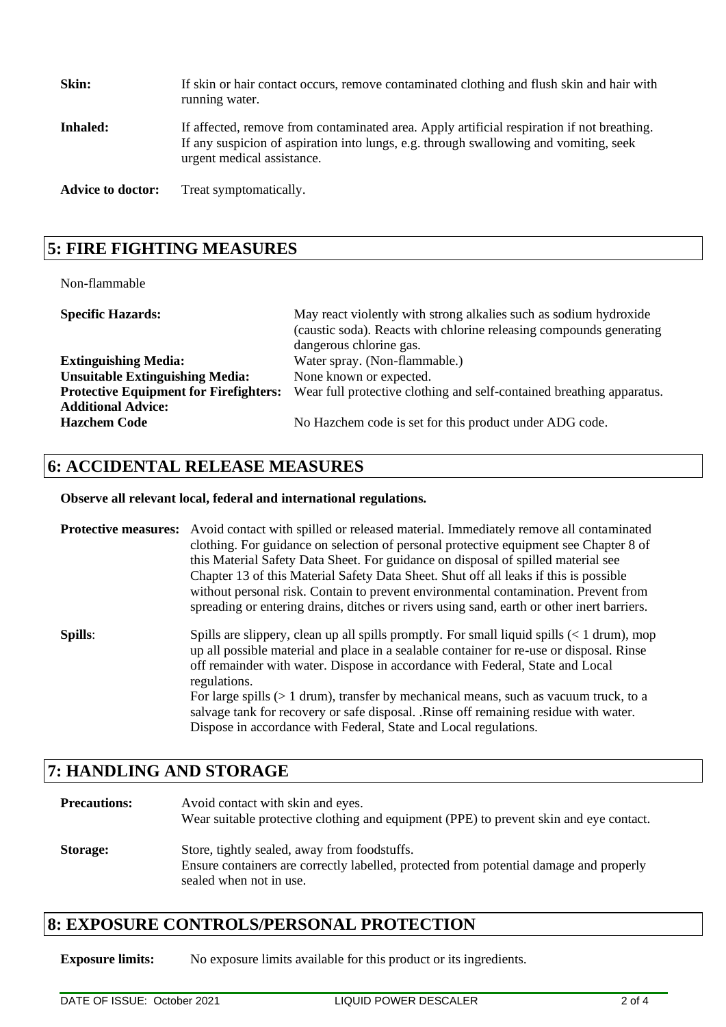| Skin:                    | If skin or hair contact occurs, remove contaminated clothing and flush skin and hair with<br>running water.                                                                                                       |
|--------------------------|-------------------------------------------------------------------------------------------------------------------------------------------------------------------------------------------------------------------|
| <b>Inhaled:</b>          | If affected, remove from contaminated area. Apply artificial respiration if not breathing.<br>If any suspicion of aspiration into lungs, e.g. through swallowing and vomiting, seek<br>urgent medical assistance. |
| <b>Advice to doctor:</b> | Treat symptomatically.                                                                                                                                                                                            |

### **5: FIRE FIGHTING MEASURES**

#### Non-flammable

| <b>Specific Hazards:</b>                      | May react violently with strong alkalies such as sodium hydroxide<br>(caustic soda). Reacts with chlorine releasing compounds generating<br>dangerous chlorine gas. |
|-----------------------------------------------|---------------------------------------------------------------------------------------------------------------------------------------------------------------------|
| <b>Extinguishing Media:</b>                   | Water spray. (Non-flammable.)                                                                                                                                       |
| <b>Unsuitable Extinguishing Media:</b>        | None known or expected.                                                                                                                                             |
| <b>Protective Equipment for Firefighters:</b> | Wear full protective clothing and self-contained breathing apparatus.                                                                                               |
| <b>Additional Advice:</b>                     |                                                                                                                                                                     |
| <b>Hazchem Code</b>                           | No Hazchem code is set for this product under ADG code.                                                                                                             |

### **6: ACCIDENTAL RELEASE MEASURES**

### **Observe all relevant local, federal and international regulations.**

**Protective measures:** Avoid contact with spilled or released material. Immediately remove all contaminated clothing. For guidance on selection of personal protective equipment see Chapter 8 of this Material Safety Data Sheet. For guidance on disposal of spilled material see Chapter 13 of this Material Safety Data Sheet. Shut off all leaks if this is possible without personal risk. Contain to prevent environmental contamination. Prevent from spreading or entering drains, ditches or rivers using sand, earth or other inert barriers.

**Spills**: Spills are slippery, clean up all spills promptly. For small liquid spills (< 1 drum), mop up all possible material and place in a sealable container for re-use or disposal. Rinse off remainder with water. Dispose in accordance with Federal, State and Local regulations. For large spills (> 1 drum), transfer by mechanical means, such as vacuum truck, to a salvage tank for recovery or safe disposal. .Rinse off remaining residue with water. Dispose in accordance with Federal, State and Local regulations.

### **7: HANDLING AND STORAGE**

### **Precautions:** Avoid contact with skin and eyes. Wear suitable protective clothing and equipment (PPE) to prevent skin and eye contact. **Storage:** Store, tightly sealed, away from foodstuffs. Ensure containers are correctly labelled, protected from potential damage and properly sealed when not in use.

### **8: EXPOSURE CONTROLS/PERSONAL PROTECTION**

**Exposure limits:** No exposure limits available for this product or its ingredients.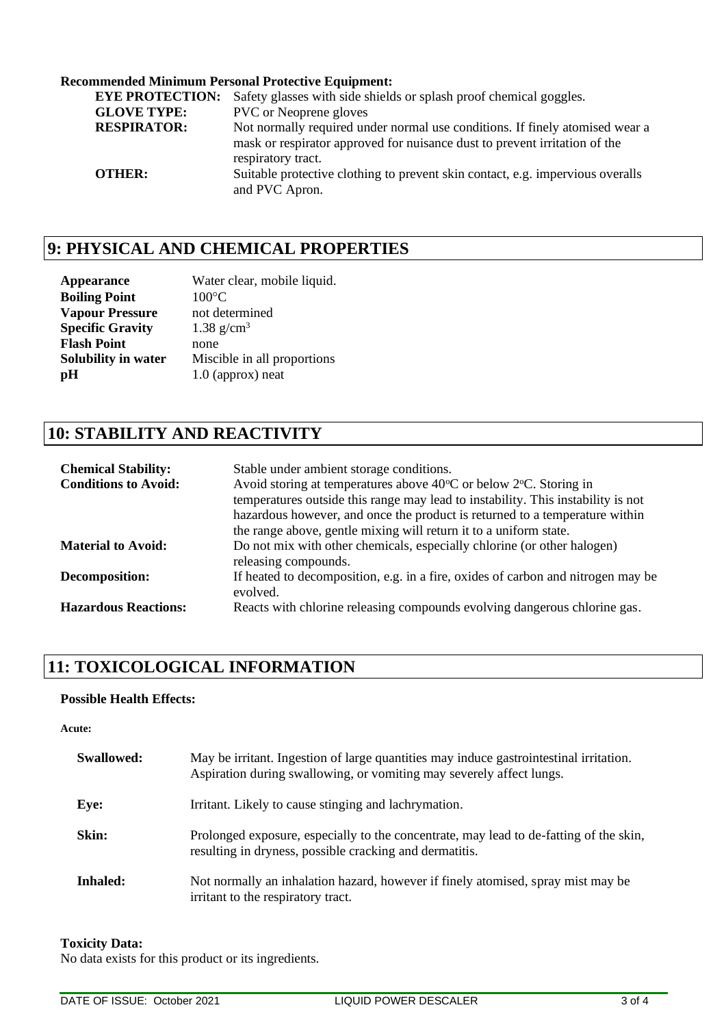### **Recommended Minimum Personal Protective Equipment:**

| <b>EYE PROTECTION:</b> | Safety glasses with side shields or splash proof chemical goggles.                                                                                         |
|------------------------|------------------------------------------------------------------------------------------------------------------------------------------------------------|
| <b>GLOVE TYPE:</b>     | <b>PVC</b> or Neoprene gloves                                                                                                                              |
| <b>RESPIRATOR:</b>     | Not normally required under normal use conditions. If finely atomised wear a<br>mask or respirator approved for nuisance dust to prevent irritation of the |
|                        | respiratory tract.                                                                                                                                         |
| <b>OTHER:</b>          | Suitable protective clothing to prevent skin contact, e.g. impervious overalls<br>and PVC Apron.                                                           |

## **9: PHYSICAL AND CHEMICAL PROPERTIES**

| <b>Appearance</b>       | Water clear, mobile liquid. |
|-------------------------|-----------------------------|
| <b>Boiling Point</b>    | $100^{\circ}$ C             |
| <b>Vapour Pressure</b>  | not determined              |
| <b>Specific Gravity</b> | 1.38 $g/cm^3$               |
| <b>Flash Point</b>      | none                        |
| Solubility in water     | Miscible in all proportions |
| pH                      | $1.0$ (approx) neat         |

## **10: STABILITY AND REACTIVITY**

| <b>Chemical Stability:</b><br><b>Conditions to Avoid:</b> | Stable under ambient storage conditions.<br>Avoid storing at temperatures above 40°C or below 2°C. Storing in<br>temperatures outside this range may lead to instability. This instability is not<br>hazardous however, and once the product is returned to a temperature within<br>the range above, gentle mixing will return it to a uniform state. |
|-----------------------------------------------------------|-------------------------------------------------------------------------------------------------------------------------------------------------------------------------------------------------------------------------------------------------------------------------------------------------------------------------------------------------------|
| <b>Material to Avoid:</b>                                 | Do not mix with other chemicals, especially chlorine (or other halogen)<br>releasing compounds.                                                                                                                                                                                                                                                       |
| Decomposition:                                            | If heated to decomposition, e.g. in a fire, oxides of carbon and nitrogen may be<br>evolved.                                                                                                                                                                                                                                                          |
| <b>Hazardous Reactions:</b>                               | Reacts with chlorine releasing compounds evolving dangerous chlorine gas.                                                                                                                                                                                                                                                                             |

## **11: TOXICOLOGICAL INFORMATION**

### **Possible Health Effects:**

#### **Acute:**

| <b>Swallowed:</b> | May be irritant. Ingestion of large quantities may induce gastrointestinal irritation.<br>Aspiration during swallowing, or vomiting may severely affect lungs. |
|-------------------|----------------------------------------------------------------------------------------------------------------------------------------------------------------|
| Eye:              | Irritant. Likely to cause stinging and lachrymation.                                                                                                           |
| Skin:             | Prolonged exposure, especially to the concentrate, may lead to de-fatting of the skin,<br>resulting in dryness, possible cracking and dermatitis.              |
| <b>Inhaled:</b>   | Not normally an inhalation hazard, however if finely atomised, spray mist may be<br>irritant to the respiratory tract.                                         |

#### **Toxicity Data:**

No data exists for this product or its ingredients.